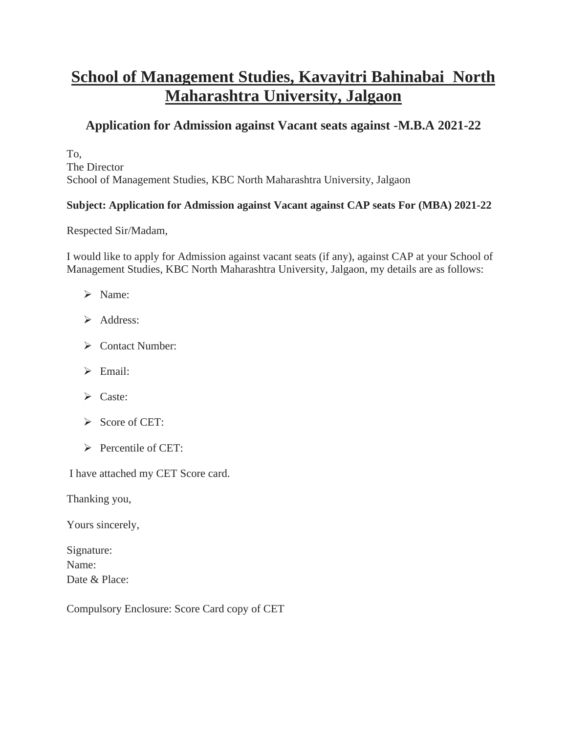# **School of Management Studies, Kavayitri Bahinabai North Maharashtra University, Jalgaon**

# **Application for Admission against Vacant seats against -M.B.A 2021-22**

To, The Director School of Management Studies, KBC North Maharashtra University, Jalgaon

## **Subject: Application for Admission against Vacant against CAP seats For (MBA) 2021-22**

Respected Sir/Madam,

I would like to apply for Admission against vacant seats (if any), against CAP at your School of Management Studies, KBC North Maharashtra University, Jalgaon, my details are as follows:

- ➢ Name:
- ➢ Address:
- ➢ Contact Number:
- ➢ Email:
- ➢ Caste:
- ➢ Score of CET:
- ➢ Percentile of CET:

I have attached my CET Score card.

Thanking you,

Yours sincerely,

Signature: Name: Date & Place:

Compulsory Enclosure: Score Card copy of CET